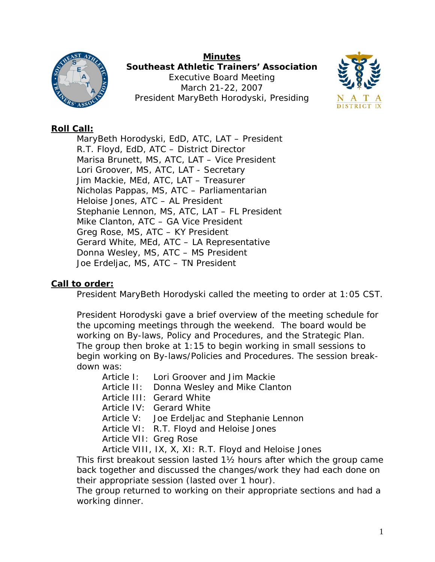

**Minutes Southeast Athletic Trainers' Association**  Executive Board Meeting March 21-22, 2007 President MaryBeth Horodyski, Presiding



# **Roll Call:**

 MaryBeth Horodyski, EdD, ATC, LAT – President R.T. Floyd, EdD, ATC – District Director Marisa Brunett, MS, ATC, LAT – Vice President Lori Groover, MS, ATC, LAT - Secretary Jim Mackie, MEd, ATC, LAT – Treasurer Nicholas Pappas, MS, ATC – Parliamentarian Heloise Jones, ATC – AL President Stephanie Lennon, MS, ATC, LAT – FL President Mike Clanton, ATC – GA Vice President Greg Rose, MS, ATC – KY President Gerard White, MEd, ATC – LA Representative Donna Wesley, MS, ATC – MS President Joe Erdeljac, MS, ATC – TN President

# **Call to order:**

President MaryBeth Horodyski called the meeting to order at 1:05 CST.

President Horodyski gave a brief overview of the meeting schedule for the upcoming meetings through the weekend. The board would be working on By-laws, Policy and Procedures, and the Strategic Plan. The group then broke at 1:15 to begin working in small sessions to begin working on By-laws/Policies and Procedures. The session breakdown was:

Article I: Lori Groover and Jim Mackie

Article II: Donna Wesley and Mike Clanton

- Article III: Gerard White
- Article IV: Gerard White

Article V: Joe Erdeljac and Stephanie Lennon

Article VI: R.T. Floyd and Heloise Jones

Article VII: Greg Rose

Article VIII, IX, X, XI: R.T. Floyd and Heloise Jones

This first breakout session lasted 1½ hours after which the group came back together and discussed the changes/work they had each done on their appropriate session (lasted over 1 hour).

The group returned to working on their appropriate sections and had a working dinner.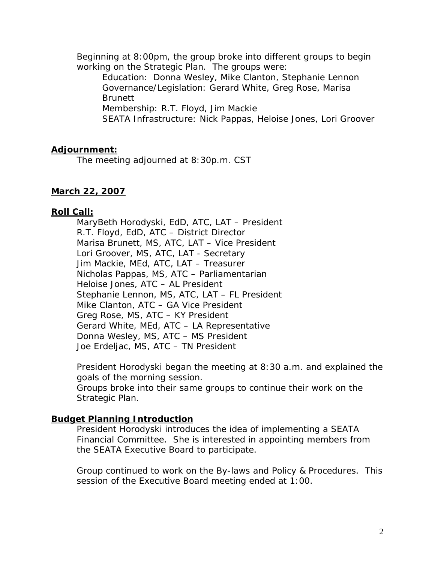Beginning at 8:00pm, the group broke into different groups to begin working on the Strategic Plan. The groups were:

Education: Donna Wesley, Mike Clanton, Stephanie Lennon Governance/Legislation: Gerard White, Greg Rose, Marisa **Brunett** 

Membership: R.T. Floyd, Jim Mackie

SEATA Infrastructure: Nick Pappas, Heloise Jones, Lori Groover

## **Adjournment:**

The meeting adjourned at 8:30p.m. CST

## **March 22, 2007**

## **Roll Call:**

 MaryBeth Horodyski, EdD, ATC, LAT – President R.T. Floyd, EdD, ATC – District Director Marisa Brunett, MS, ATC, LAT – Vice President Lori Groover, MS, ATC, LAT - Secretary Jim Mackie, MEd, ATC, LAT – Treasurer Nicholas Pappas, MS, ATC – Parliamentarian Heloise Jones, ATC – AL President Stephanie Lennon, MS, ATC, LAT – FL President Mike Clanton, ATC – GA Vice President Greg Rose, MS, ATC – KY President Gerard White, MEd, ATC – LA Representative Donna Wesley, MS, ATC – MS President Joe Erdeljac, MS, ATC – TN President

President Horodyski began the meeting at 8:30 a.m. and explained the goals of the morning session.

Groups broke into their same groups to continue their work on the Strategic Plan.

## **Budget Planning Introduction**

President Horodyski introduces the idea of implementing a SEATA Financial Committee. She is interested in appointing members from the SEATA Executive Board to participate.

Group continued to work on the By-laws and Policy & Procedures. This session of the Executive Board meeting ended at 1:00.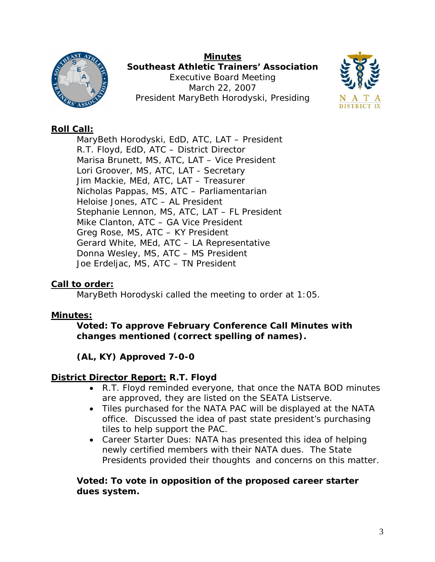

**Minutes Southeast Athletic Trainers' Association**  Executive Board Meeting March 22, 2007 President MaryBeth Horodyski, Presiding



# **Roll Call:**

 MaryBeth Horodyski, EdD, ATC, LAT – President R.T. Floyd, EdD, ATC – District Director Marisa Brunett, MS, ATC, LAT – Vice President Lori Groover, MS, ATC, LAT - Secretary Jim Mackie, MEd, ATC, LAT – Treasurer Nicholas Pappas, MS, ATC – Parliamentarian Heloise Jones, ATC – AL President Stephanie Lennon, MS, ATC, LAT – FL President Mike Clanton, ATC – GA Vice President Greg Rose, MS, ATC – KY President Gerard White, MEd, ATC – LA Representative Donna Wesley, MS, ATC – MS President Joe Erdeljac, MS, ATC – TN President

# **Call to order:**

MaryBeth Horodyski called the meeting to order at 1:05.

# **Minutes:**

**Voted: To approve February Conference Call Minutes with changes mentioned (correct spelling of names).** 

# **(AL, KY) Approved 7-0-0**

# **District Director Report: R.T. Floyd**

- R.T. Floyd reminded everyone, that once the NATA BOD minutes are approved, they are listed on the SEATA Listserve.
- Tiles purchased for the NATA PAC will be displayed at the NATA office. Discussed the idea of past state president's purchasing tiles to help support the PAC.
- Career Starter Dues: NATA has presented this idea of helping newly certified members with their NATA dues. The State Presidents provided their thoughts and concerns on this matter.

## **Voted: To vote in opposition of the proposed career starter dues system.**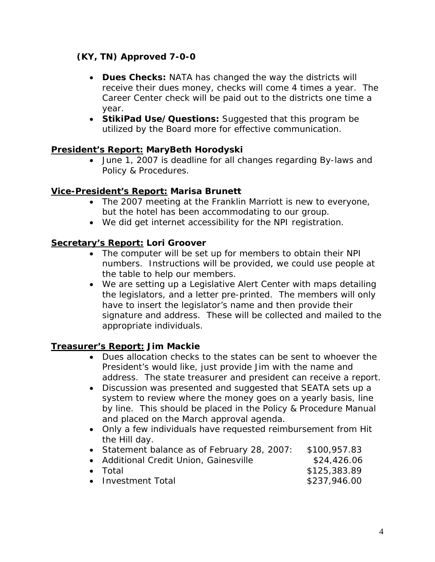# **(KY, TN) Approved 7-0-0**

- **Dues Checks:** NATA has changed the way the districts will receive their dues money, checks will come 4 times a year. The Career Center check will be paid out to the districts one time a year.
- **StikiPad Use/Questions:** Suggested that this program be utilized by the Board more for effective communication.

# **President's Report: MaryBeth Horodyski**

• June 1, 2007 is deadline for all changes regarding By-laws and Policy & Procedures.

## **Vice-President's Report: Marisa Brunett**

- The 2007 meeting at the Franklin Marriott is new to everyone, but the hotel has been accommodating to our group.
- We did get internet accessibility for the NPI registration.

# **Secretary's Report: Lori Groover**

- The computer will be set up for members to obtain their NPI numbers. Instructions will be provided, we could use people at the table to help our members.
- We are setting up a Legislative Alert Center with maps detailing the legislators, and a letter pre-printed. The members will only have to insert the legislator's name and then provide their signature and address. These will be collected and mailed to the appropriate individuals.

# **Treasurer's Report: Jim Mackie**

- Dues allocation checks to the states can be sent to whoever the President's would like, just provide Jim with the name and address. The state treasurer and president can receive a report.
- Discussion was presented and suggested that SEATA sets up a system to review where the money goes on a yearly basis, line by line. This should be placed in the Policy & Procedure Manual and placed on the March approval agenda.
- Only a few individuals have requested reimbursement from Hit the Hill day.

| • Statement balance as of February 28, 2007: | \$100,957.83 |
|----------------------------------------------|--------------|
| • Additional Credit Union, Gainesville       | \$24,426.06  |
| $\bullet$ Total                              | \$125,383.89 |
| • Investment Total                           | \$237,946.00 |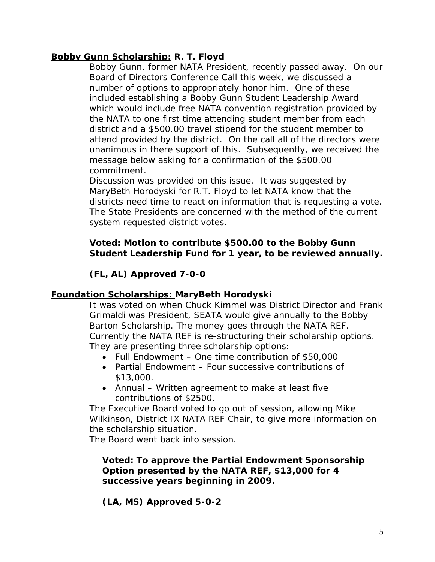## **Bobby Gunn Scholarship: R. T. Floyd**

Bobby Gunn, former NATA President, recently passed away. On our Board of Directors Conference Call this week, we discussed a number of options to appropriately honor him. One of these included establishing a Bobby Gunn Student Leadership Award which would include free NATA convention registration provided by the NATA to one first time attending student member from each district and a \$500.00 travel stipend for the student member to attend provided by the district. On the call all of the directors were unanimous in there support of this. Subsequently, we received the message below asking for a confirmation of the \$500.00 commitment.

 Discussion was provided on this issue. It was suggested by MaryBeth Horodyski for R.T. Floyd to let NATA know that the districts need time to react on information that is requesting a vote. The State Presidents are concerned with the method of the current system requested district votes.

# **Voted: Motion to contribute \$500.00 to the Bobby Gunn Student Leadership Fund for 1 year, to be reviewed annually.**

 **(FL, AL) Approved 7-0-0** 

## **Foundation Scholarships: MaryBeth Horodyski**

It was voted on when Chuck Kimmel was District Director and Frank Grimaldi was President, SEATA would give annually to the Bobby Barton Scholarship. The money goes through the NATA REF. Currently the NATA REF is re-structuring their scholarship options. They are presenting three scholarship options:

- Full Endowment One time contribution of \$50,000
- Partial Endowment Four successive contributions of \$13,000.
- Annual Written agreement to make at least five contributions of \$2500.

The Executive Board voted to go out of session, allowing Mike Wilkinson, District IX NATA REF Chair, to give more information on the scholarship situation.

The Board went back into session.

### **Voted: To approve the Partial Endowment Sponsorship Option presented by the NATA REF, \$13,000 for 4 successive years beginning in 2009.**

 **(LA, MS) Approved 5-0-2**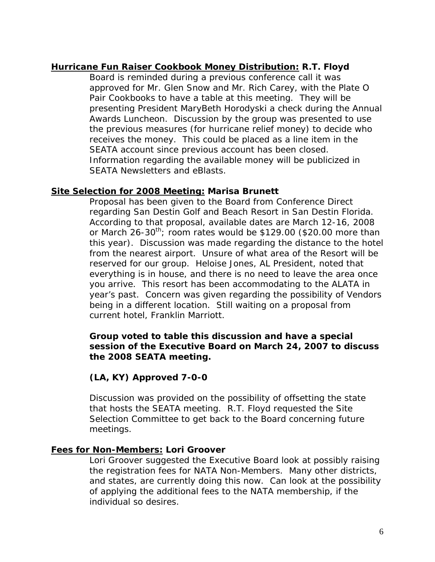## **Hurricane Fun Raiser Cookbook Money Distribution: R.T. Floyd**

 Board is reminded during a previous conference call it was approved for Mr. Glen Snow and Mr. Rich Carey, with the Plate O Pair Cookbooks to have a table at this meeting. They will be presenting President MaryBeth Horodyski a check during the Annual Awards Luncheon. Discussion by the group was presented to use the previous measures (for hurricane relief money) to decide who receives the money. This could be placed as a line item in the SEATA account since previous account has been closed. Information regarding the available money will be publicized in SEATA Newsletters and eBlasts.

## **Site Selection for 2008 Meeting: Marisa Brunett**

Proposal has been given to the Board from Conference Direct regarding San Destin Golf and Beach Resort in San Destin Florida. According to that proposal, available dates are March 12-16, 2008 or March 26-30<sup>th</sup>; room rates would be \$129.00 (\$20.00 more than this year). Discussion was made regarding the distance to the hotel from the nearest airport. Unsure of what area of the Resort will be reserved for our group. Heloise Jones, AL President, noted that everything is in house, and there is no need to leave the area once you arrive. This resort has been accommodating to the ALATA in year's past. Concern was given regarding the possibility of Vendors being in a different location. Still waiting on a proposal from current hotel, Franklin Marriott.

### **Group voted to table this discussion and have a special session of the Executive Board on March 24, 2007 to discuss the 2008 SEATA meeting.**

## **(LA, KY) Approved 7-0-0**

Discussion was provided on the possibility of offsetting the state that hosts the SEATA meeting. R.T. Floyd requested the Site Selection Committee to get back to the Board concerning future meetings.

## **Fees for Non-Members: Lori Groover**

 Lori Groover suggested the Executive Board look at possibly raising the registration fees for NATA Non-Members. Many other districts, and states, are currently doing this now. Can look at the possibility of applying the additional fees to the NATA membership, if the individual so desires.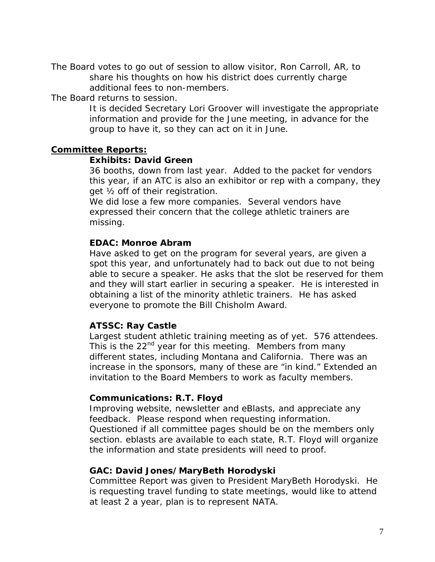The Board votes to go out of session to allow visitor, Ron Carroll, AR, to share his thoughts on how his district does currently charge additional fees to non-members.

The Board returns to session.

 It is decided Secretary Lori Groover will investigate the appropriate information and provide for the June meeting, in advance for the group to have it, so they can act on it in June.

### **Committee Reports:**

#### **Exhibits: David Green**

36 booths, down from last year. Added to the packet for vendors this year, if an ATC is also an exhibitor or rep with a company, they get ½ off of their registration.

 We did lose a few more companies. Several vendors have expressed their concern that the college athletic trainers are missing.

### **EDAC: Monroe Abram**

Have asked to get on the program for several years, are given a spot this year, and unfortunately had to back out due to not being able to secure a speaker. He asks that the slot be reserved for them and they will start earlier in securing a speaker. He is interested in obtaining a list of the minority athletic trainers. He has asked everyone to promote the Bill Chisholm Award.

### **ATSSC: Ray Castle**

Largest student athletic training meeting as of yet. 576 attendees. This is the 22<sup>nd</sup> year for this meeting. Members from many different states, including Montana and California. There was an increase in the sponsors, many of these are "in kind." Extended an invitation to the Board Members to work as faculty members.

### **Communications: R.T. Floyd**

Improving website, newsletter and eBlasts, and appreciate any feedback. Please respond when requesting information. Questioned if all committee pages should be on the members only section. eblasts are available to each state, R.T. Floyd will organize the information and state presidents will need to proof.

### **GAC: David Jones/MaryBeth Horodyski**

Committee Report was given to President MaryBeth Horodyski. He is requesting travel funding to state meetings, would like to attend at least 2 a year, plan is to represent NATA.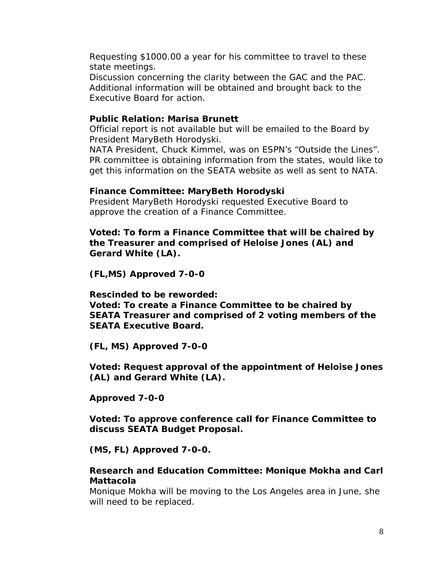Requesting \$1000.00 a year for his committee to travel to these state meetings.

 Discussion concerning the clarity between the GAC and the PAC. Additional information will be obtained and brought back to the Executive Board for action.

### **Public Relation: Marisa Brunett**

Official report is not available but will be emailed to the Board by President MaryBeth Horodyski.

 NATA President, Chuck Kimmel, was on ESPN's "Outside the Lines". PR committee is obtaining information from the states, would like to get this information on the SEATA website as well as sent to NATA.

### **Finance Committee: MaryBeth Horodyski**

President MaryBeth Horodyski requested Executive Board to approve the creation of a Finance Committee.

**Voted: To form a Finance Committee that will be chaired by the Treasurer and comprised of Heloise Jones (AL) and Gerard White (LA).** 

 **(FL,MS) Approved 7-0-0** 

 **Rescinded to be reworded:** 

 **Voted: To create a Finance Committee to be chaired by SEATA Treasurer and comprised of 2 voting members of the SEATA Executive Board.** 

 **(FL, MS) Approved 7-0-0** 

 **Voted: Request approval of the appointment of Heloise Jones (AL) and Gerard White (LA).** 

 **Approved 7-0-0** 

 **Voted: To approve conference call for Finance Committee to discuss SEATA Budget Proposal.** 

 **(MS, FL) Approved 7-0-0.** 

### **Research and Education Committee: Monique Mokha and Carl Mattacola**

Monique Mokha will be moving to the Los Angeles area in June, she will need to be replaced.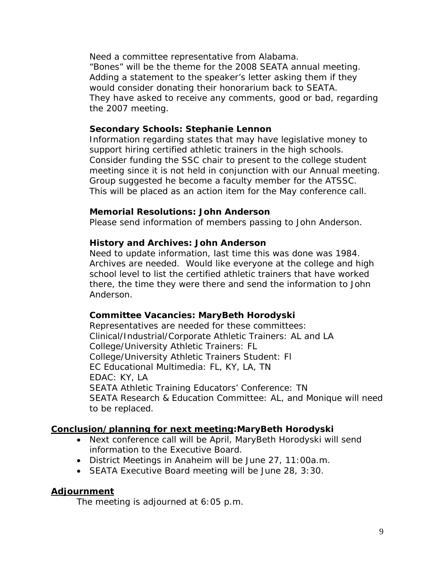Need a committee representative from Alabama. "Bones" will be the theme for the 2008 SEATA annual meeting. Adding a statement to the speaker's letter asking them if they would consider donating their honorarium back to SEATA. They have asked to receive any comments, good or bad, regarding the 2007 meeting.

### **Secondary Schools: Stephanie Lennon**

Information regarding states that may have legislative money to support hiring certified athletic trainers in the high schools. Consider funding the SSC chair to present to the college student meeting since it is not held in conjunction with our Annual meeting. Group suggested he become a faculty member for the ATSSC. This will be placed as an action item for the May conference call.

### **Memorial Resolutions: John Anderson**

Please send information of members passing to John Anderson.

### **History and Archives: John Anderson**

Need to update information, last time this was done was 1984. Archives are needed. Would like everyone at the college and high school level to list the certified athletic trainers that have worked there, the time they were there and send the information to John Anderson.

### **Committee Vacancies: MaryBeth Horodyski**

Representatives are needed for these committees: Clinical/Industrial/Corporate Athletic Trainers: AL and LA College/University Athletic Trainers: FL College/University Athletic Trainers Student: Fl EC Educational Multimedia: FL, KY, LA, TN EDAC: KY, LA SEATA Athletic Training Educators' Conference: TN SEATA Research & Education Committee: AL, and Monique will need to be replaced.

### **Conclusion/planning for next meeting:MaryBeth Horodyski**

- Next conference call will be April, MaryBeth Horodyski will send information to the Executive Board.
- District Meetings in Anaheim will be June 27, 11:00a.m.
- SEATA Executive Board meeting will be June 28, 3:30.

### **Adjournment**

The meeting is adjourned at 6:05 p.m.